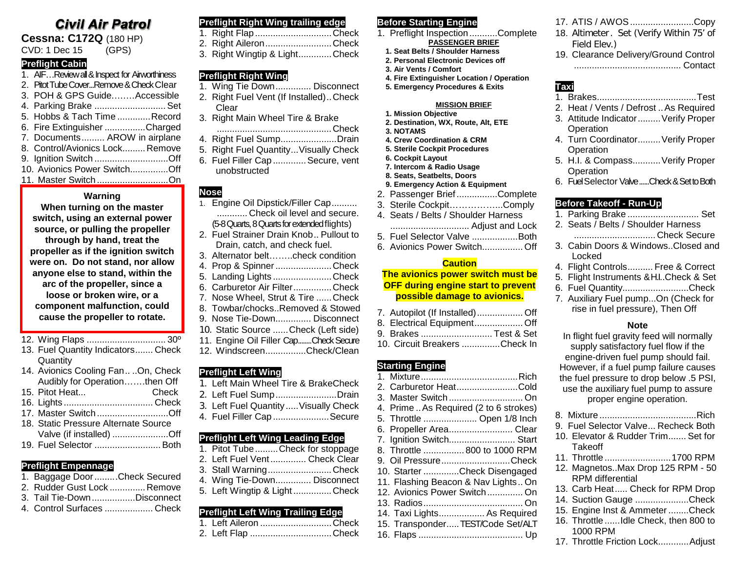# **Civil Air Patrol**

**Cessna: C172Q** (180 HP)

CVD: 1 Dec 15 (GPS)

#### **Preflight Cabin**

1. AIF…Review all & Inspect for Airworthiness 2. Pitot Tube Cover...Remove & Check Clear 3. POH & GPS Guide.….…Accessible

| 4. Parking Brake  Set           |  |
|---------------------------------|--|
| 5. Hobbs & Tach Time Record     |  |
| 6. Fire Extinguisher Charged    |  |
| 7. Documents AROW in airplane   |  |
| 8. Control/Avionics Lock Remove |  |
| 9. Ignition Switch Off          |  |
| 10. Avionics Power SwitchOff    |  |
| 11. Master SwitchOn             |  |

#### **Warning**

**When turning on the master switch, using an external power source, or pulling the propeller through by hand, treat the propeller as if the ignition switch were on. Do not stand, nor allow anyone else to stand, within the arc of the propeller, since a loose or broken wire, or a component malfunction, could cause the propeller to rotate.**

12. Wing Flaps ............................... 30º

- 13. Fuel Quantity Indicators....... Check **Quantity**
- 14. Avionics Cooling Fan.. ..On, Check Audibly for Operation…….then Off
- 15. Pitot Heat...
- 16. Lights ................................... Check
- 17. Master Switch ............................Off
- 18. Static Pressure Alternate Source Valve (if installed) ......................Off 19. Fuel Selector ..........................Both

## **Preflight Empennage**

- 1. Baggage Door.........Check Secured 2. Rudder Gust Lock ..............Remove 3. Tail Tie-Down.................Disconnect
- 4. Control Surfaces ................... Check
- 

#### **Preflight Right Wing trailing edge**

| 1. Right Flap Check           |  |
|-------------------------------|--|
| 2. Right AileronCheck         |  |
| 3. Right Wingtip & LightCheck |  |

## **Preflight Right Wing**

- 1. Wing Tie Down.............. Disconnect
- 2. Right Fuel Vent (If Installed)..Check Clear
- 3. Right Main Wheel Tire & Brake
- .............................................Check 4. Right Fuel Sump......................Drain
- 5. Right Fuel Quantity...Visually Check
- 6. Fuel Filler Cap .............Secure, vent unobstructed

## **Nose**

- 1. Engine Oil Dipstick/Filler Cap.......... ............ Check oil level and secure. (5-8 Quarts, 8 Quarts for extended flights)
- 2. Fuel Strainer Drain Knob.. Pullout to Drain, catch, and check fuel.
- 3. Alternator belt……..check condition
- 4. Prop & Spinner......................Check
- 5. Landing Lights .......................Check
- 6. Carburetor Air Filter...............Check
- 7. Nose Wheel, Strut & Tire ......Check
- 8. Towbar/chocks..Removed & Stowed
- 9. Nose Tie-Down.............. Disconnect
- 10. Static Source ......Check (Left side)
- 11. Engine Oil Filler Cap........Check Secure 12. Windscreen................Check/Clean

#### **Preflight Left Wing**

- 1. Left Main Wheel Tire & BrakeCheck
- 2. Left Fuel Sump........................Drain
- 3. Left Fuel Quantity .....Visually Check 4. Fuel Filler Cap ......................Secure
- 

## **Preflight Left Wing Leading Edge**

- 1. Pitot Tube.........Check for stoppage 2. Left Fuel Vent.............. Check Clear 3. Stall Warning.........................Check
- 4. Wing Tie-Down.............. Disconnect
- 5. Left Wingtip & Light ...............Check

## **Preflight Left Wing Trailing Edge**

| 1. Left Aileron Check |  |
|-----------------------|--|
| 2. Left Flap Check    |  |

## **Before Starting Engine**

- 1. Preflight Inspection...........Complete **PASSENGER BRIEF**
	- **1. Seat Belts / Shoulder Harness**
	- **2. Personal Electronic Devices off**
	- **3. Air Vents / Comfort**
	- **4. Fire Extinguisher Location / Operation 5. Emergency Procedures & Exits**

#### **MISSION BRIEF**

- **1. Mission Objective 2. Destination, WX, Route, Alt, ETE**
- **3. NOTAMS**
- 
- **4. Crew Coordination & CRM 5. Sterile Cockpit Procedures**
- **6. Cockpit Layout**
- **7. Intercom & Radio Usage**
- **8. Seats, Seatbelts, Doors**
- **9. Emergency Action & Equipment**
- 2. Passenger Brief................Complete
- 3. Sterile Cockpit……………...Comply
- 4. Seats / Belts / Shoulder Harness
- ............................... Adjust and Lock
- 5. Fuel Selector Valve ..................Both
- 6. Avionics Power Switch................ Off

#### **Caution**

## **The avionics power switch must be OFF during engine start to prevent possible damage to avionics.**

- 7. Autopilot (If Installed).................. Off
- 8. Electrical Equipment................... Off 9. Brakes ............................ Test & Set
- 10. Circuit Breakers ...............Check In

#### **Starting Engine**

- 1. Mixture......................................Rich 2. Carburetor Heat........................Cold 3. Master Switch ............................. On 4. Prime ..As Required (2 to 6 strokes) 5. Throttle ..................... Open 1/8 Inch 6. Propeller Area......................... Clear 7. Ignition Switch.......................... Start 8. Throttle ................ 800 to 1000 RPM 9. Oil Pressure...........................Check 10. Starter ..............Check Disengaged 11. Flashing Beacon & Nav Lights.. On 12. Avionics Power Switch.............. On 13. Radios....................................... On 14. Taxi Lights.................. As Required 15. Transponder.....TEST/Code Set/ALT
- 16. Flaps ......................................... Up
- 17. ATIS / AWOS.........................Copy
- 18. Altimeter. Set (Verify Within 75' of Field Elev.)
- 19. Clearance Delivery/Ground Control .......................................... Contact

## **Taxi**

- 1. Brakes.......................................Test
- 2. Heat / Vents / Defrost ..As Required
- 3. Attitude Indicator.........Verify Proper Operation
- 4. Turn Coordinator.........Verify Proper **Operation**
- 5. H.I. & Compass...........Verify Proper **Operation**
- 6. Fuel Selector Valve......Check & Set to Both

## **Before Takeoff - Run-Up**

**Takeoff** 

1000 RPM

RPM differential

- 1. Parking Brake ............................ Set
- 2. Seats / Belts / Shoulder Harness
	- ................................ Check Secure
- 3. Cabin Doors & Windows..Closed and Locked
- 4. Flight Controls.......... Free & Correct
- 5. Flight Instruments & H.I..Check & Set
- 6. Fuel Quantity..........................Check
- 7. Auxiliary Fuel pump...On (Check for rise in fuel pressure), Then Off

#### **Note** In flight fuel gravity feed will normally

supply satisfactory fuel flow if the engine-driven fuel pump should fail. However, if a fuel pump failure causes the fuel pressure to drop below .5 PSI, use the auxiliary fuel pump to assure proper engine operation. 8. Mixture ......................................Rich 9. Fuel Selector Valve... Recheck Both 10. Elevator & Rudder Trim....... Set for

11. Throttle ..........................1700 RPM 12. Magnetos..Max Drop 125 RPM - 50

13. Carb Heat..... Check for RPM Drop 14. Suction Gauge .....................Check 15. Engine Inst & Ammeter ........Check 16. Throttle ......Idle Check, then 800 to

17. Throttle Friction Lock............Adjust